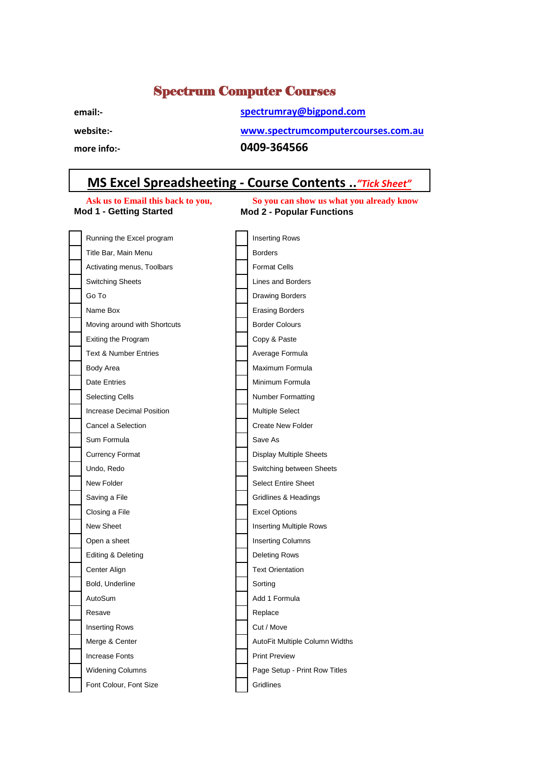## Spectrum Computer Courses

## **email:- [spectrumray@bigpond.com](mailto:spectrumray@bigpond.com)**

**website:- www.spectrumcomputercourses.com.au**

**more info:- 0409-364566**

## **MS Excel Spreadsheeting - Course Contents ..***"Tick Sheet"*

**Ask us to Email this back to you, So you can show us what you already know**<br>Mod 1 - Getting Started Mod 2 - Popular Functions **Mod 2 - Popular Functions** 

| Running the Excel program        | Inserting Rows                 |
|----------------------------------|--------------------------------|
| Title Bar, Main Menu             | <b>Borders</b>                 |
| Activating menus, Toolbars       | <b>Format Cells</b>            |
| <b>Switching Sheets</b>          | Lines and Borders              |
| Go To                            | Drawing Borders                |
| Name Box                         | <b>Erasing Borders</b>         |
| Moving around with Shortcuts     | <b>Border Colours</b>          |
| Exiting the Program              | Copy & Paste                   |
| <b>Text &amp; Number Entries</b> | Average Formula                |
| Body Area                        | Maximum Formula                |
| <b>Date Entries</b>              | Minimum Formula                |
| <b>Selecting Cells</b>           | <b>Number Formatting</b>       |
| <b>Increase Decimal Position</b> | <b>Multiple Select</b>         |
| Cancel a Selection               | <b>Create New Folder</b>       |
| Sum Formula                      | Save As                        |
| <b>Currency Format</b>           | <b>Display Multiple Sheets</b> |
| Undo, Redo                       | Switching between Sheets       |
| New Folder                       | <b>Select Entire Sheet</b>     |
| Saving a File                    | Gridlines & Headings           |
| Closing a File                   | <b>Excel Options</b>           |
| New Sheet                        | <b>Inserting Multiple Rows</b> |
| Open a sheet                     | <b>Inserting Columns</b>       |
| Editing & Deleting               | Deleting Rows                  |
| Center Align                     | <b>Text Orientation</b>        |
| Bold, Underline                  | Sorting                        |
| AutoSum                          | Add 1 Formula                  |
| Resave                           | Replace                        |
| <b>Inserting Rows</b>            | Cut / Move                     |
| Merge & Center                   | AutoFit Multiple Column Widths |
| <b>Increase Fonts</b>            | <b>Print Preview</b>           |
| <b>Widening Columns</b>          | Page Setup - Print Row Titles  |
| Font Colour, Font Size           | Gridlines                      |
|                                  |                                |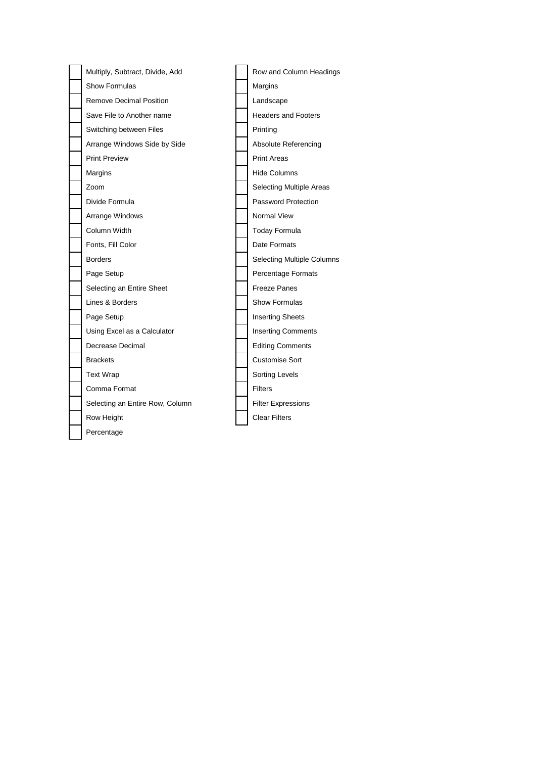| Multiply, Subtract, Divide, Add | Row and Column Headings           |
|---------------------------------|-----------------------------------|
| Show Formulas                   | Margins                           |
| <b>Remove Decimal Position</b>  | Landscape                         |
| Save File to Another name       | <b>Headers and Footers</b>        |
| Switching between Files         | Printing                          |
| Arrange Windows Side by Side    | Absolute Referencing              |
| <b>Print Preview</b>            | <b>Print Areas</b>                |
| Margins                         | <b>Hide Columns</b>               |
| Zoom                            | <b>Selecting Multiple Areas</b>   |
| Divide Formula                  | <b>Password Protection</b>        |
| Arrange Windows                 | Normal View                       |
| Column Width                    | <b>Today Formula</b>              |
| Fonts, Fill Color               | Date Formats                      |
| <b>Borders</b>                  | <b>Selecting Multiple Columns</b> |
| Page Setup                      | Percentage Formats                |
| Selecting an Entire Sheet       | <b>Freeze Panes</b>               |
| Lines & Borders                 | Show Formulas                     |
| Page Setup                      | <b>Inserting Sheets</b>           |
| Using Excel as a Calculator     | <b>Inserting Comments</b>         |
| Decrease Decimal                | <b>Editing Comments</b>           |
| <b>Brackets</b>                 | <b>Customise Sort</b>             |
| <b>Text Wrap</b>                | Sorting Levels                    |
| Comma Format                    | <b>Filters</b>                    |
| Selecting an Entire Row, Column | <b>Filter Expressions</b>         |
| Row Height                      | <b>Clear Filters</b>              |
| Percentage                      |                                   |